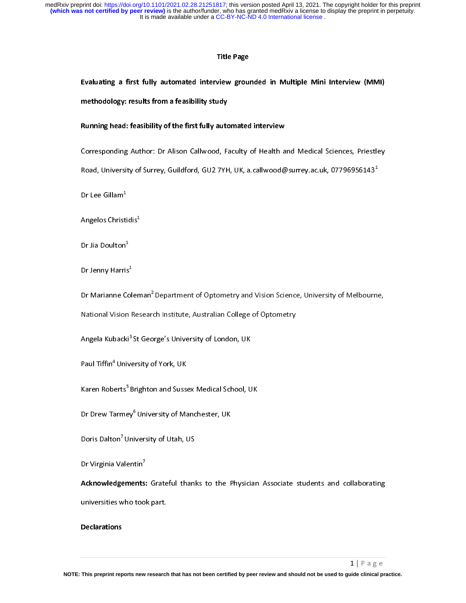#### Title Page

# Evaluating a first fully automated interview grounded in Multiple Mini Interview (MMI) methodology: results from a feasibility study

Running head: feasibility of the first fully automated interview

Road, University of Surrey, Guildford, GU2 7YH, UK, a.callwood@surrey.ac.uk, 07796956143<sup>1</sup><br>Dr Lee Gillam<sup>1</sup><br>Angelos Christidis<sup>!</sup><br>Dr Marianne Coleman<sup>2</sup> Department of Optometry and Vision Science, University of Melbourne,

Road, University of Surrey, Guildford, GU2 7YH, UK, a.callwood@surrey.ac.uk, 07796956143"<br>Dr Lee Gillam<sup>1</sup><br>Dr Jenny Harris<sup>2</sup><br>Dr Jenny Harris<sup>2</sup><br>Dr Jenny Harris<sup>2</sup><br>Dr Jenny Harris<sup>2</sup><br>National Vision Research Institute, Aus  $\epsilon$ Dr Lee Gillam<sup>-</sup><br>Angelos Christi<br>Dr Jia Doulton<sup>1</sup><br>Dr Jia Doulton<sup>1</sup><br>Dr Jenny Harri:<br>Dr Marianne C<br>National Visior<br>Angela Kuback<br>Paul Tiffin<sup>4</sup> Uni<br>Karen Roberts<sup>1</sup><br>Dr Drew Tarme<br>Doris Dalton<sup>7</sup> L<br>Dr Virginia Vale<br>**Acknowl** Angelos Christidis<sup>1</sup><br>Dr Jia Doulton<sup>1</sup><br>Dr Jenny Harris<sup>1</sup><br>Dr Marianne Colen<br>National Vision Res<br>Angela Kubacki<sup>3</sup> St<br>Paul Tiffin<sup>4</sup> Univers<br>Karen Roberts<sup>5</sup> Brig<br>Dr Drew Tarmey<sup>6</sup> U<br>Doris Dalton<sup>7</sup> Unive<br>Dr Virginia Valen Dr Jia Doulton<sup>1</sup><br>Dr Jenny Harris<br>Dr Marianne Co<br>National Vision<br>Angela Kubacki<br>Paul Tiffin<sup>4</sup> Univ<br>Karen Roberts<sup>5</sup><br>Dr Drew Tarme<br>Doris Dalton<sup>7</sup> U<br>Dr Virginia Vale<br>**Acknowledgem**<br>universities wh Dr Jenny Harris<sup>-</sup><br>Dr Marianne Col<br>National Vision F<br>Angela Kubacki<sup>3</sup><br>Paul Tiffin<sup>4</sup> Unive<br>Karen Roberts<sup>5</sup> E<br>Dr Drew Tarmey<br>Doris Dalton<sup>7</sup> Un<br>Dr Virginia Valen<br>**Acknowledgeme**<br>universities who<br>Declarations Dr Marianne Coleman" Department of Optometry and Vision Science, University of Melbourne,<br>National Vision Research Institute, Australian College of Optometry<br>Angela Kubacki<sup>3</sup> St George's University of London, UK<br>Paul Tiff Angela Kubacki<sup>3</sup> St George's University of London, UK<br>Paul Tiffin<sup>4</sup> University of York, UK<br>Karen Roberts<sup>5</sup> Brighton and Sussex Medical School, UK<br>Dr Drew Tarmey<sup>6</sup> University of Manchester, UK<br>Doris Dalton<sup>7</sup> University Angela Kubacki<sup>3</sup> St George's University of London, UK<br>Paul Tiffin<sup>4</sup> University of York, UK<br>Karen Roberts<sup>5</sup> Brighton and Sussex Medical School, U<br>Dr Drew Tarmey<sup>6</sup> University of Manchester, UK<br>Doris Dalton<sup>7</sup> University Paul Tiffin" University of York, UK<br>Karen Roberts<sup>5</sup> Brighton and Susse<br>Dr Drew Tarmey<sup>6</sup> University of Ma<br>Doris Dalton<sup>7</sup> University of Utah, U<br>Dr Virginia Valentin<sup>7</sup><br>Acknowledgements: Grateful th.<br>universities who took Karen Roberts" Brighton and Sussex Medical School, UK<br>Dr Drew Tarmey<sup>6</sup> University of Manchester, UK<br>Doris Dalton<sup>7</sup> University of Utah, US<br>Dr Virginia Valentin<sup>7</sup><br>Ac**knowledgements:** Grateful thanks to the Physician<br>unive Dr Drew Tarmey" University of Manchester, UK<br>Doris Dalton<sup>7</sup> University of Utah, US<br>Dr Virginia Valentin<sup>7</sup><br>Acknowledgements: Grateful thanks to the F<br>universities who took part.<br>Declarations Doris Dalton' University of Utah, US<br>Dr Virginia Valentin<sup>7</sup><br>Acknowledgements: Grateful thanl<br>universities who took part.<br>Declarations<br>This preprint reports new research that has n Dr Virginia Valentin'<br>Acknowledgements:<br>universities who tool<br>Declarations<br>This preprint reports new Acknowledgements: Grateful thanks to the Physician Associate students and collaborating<br>universities who took part.<br>Declarations<br>This preprint reports new research that has not been certified by peer review and should not

#### Declarations

 $\overline{\phantom{a}}$ <br>aide clinical pra peclarations<br>Declarations<br>This preprint reports new research **NOTE: This preprint reports new research that has not been certified by peer review and should not be used to guide clinical practice.**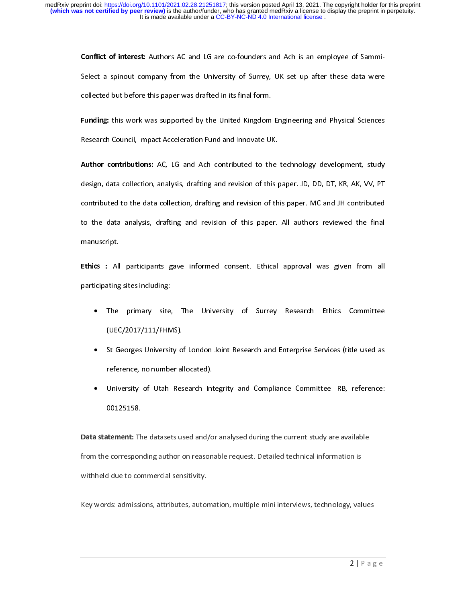Conflict of interest: Authors AC and EG are co-founders and Ach is an employee of Sammi-<br>Collected but before this paper was drafted in its final form.<br> **Funding:** this work was supported by the United Kingdom Engineering collected but before this paper was drafted in its final form.<br> **Funding:** this work was supported by the United Kingdom Engineering and Physical Sciences<br>
Research Council, Impact Acceleration Fund and Innovate UK.<br> **Auth** Eunding: this work was supported by the United Kingdom<br>Research Council, impact Acceleration Fund and Innovate UI<br>Author contributions: AC, LG and Ach contributed to th<br>design, data collection, analysis, drafting and revis Funding: this work was supported by the United Kingdom Engineering and Physical Sciences<br>Funding: Instanton Engineering and Innovate UK.<br>
Author contributions: AC, LG and Ach contributed to the technology development, stud Author contributions: AC, LG and Ach contributed to the<br>design, data collection, analysis, drafting and revision of this is<br>contributed to the data collection, drafting and revision of this<br>to the data analysis, drafting a Author contributed to the contributed to the economic contributed to the economic contributed to the data collection, analysis, drafting and revision of this paper. JD, DD, DT, KR, AK, W, PT contributed to the data collect ontributed to the data collection, drafting and revision of this paper. MC and JH contributed<br>to the data analysis, drafting and revision of this paper. All authors reviewed the final<br>manuscript.<br>**Ethics** : All participant

- The primary site, The University of Surrey Research Ethics Committee
- •
- •

contributed to the data contributed to the data contributed the final manuscript.<br> **Chick** is All participants gave informed consent. Ethical approval was given from all<br>
participating sites including:<br>
• The primary site, manuscript.<br> **Ethics :** All participants gave informed consent. Ethical approval was given from all<br> **Participating sites including:**<br>
• The primary site, The University of Surrey Research Ethics Committee<br>
(UEC/2017/111/F Ethics : All<br>participating<br>• The<br>(UEC<br>• St G<br>refer<br>• Univ<br>0012<br>Data statem<br>from the cor<br>withheld due<br>Key words: a Ethics : All participants gave informed consent. Ethical approval was given from all<br>participating sites including:<br>• The primary site, The University of Surrey Research Ethics Committee<br>(UEC/2017/111/FHMS).<br>• St Georges U • The primary site,<br>(UEC/2017/111/FHM<br>• St Georges Universit<br>reference, no numbe<br>• University of Utah<br>00125158.<br>Data statement: The dataset<br>from the corresponding auth<br>withheld due to commercial<br>Key words: admissions, attr The primary site, The Surrey of Surrey Technical Surrey Technical Directions Constrained UEC/2017/111/FHMS).<br>St Georges University of London Joint Research and Enterprise Services (title used as<br>reference, no number alloca St Georges University of<br>
reference, no number al<br>
University of Utah Res<br>
00125158.<br>
Itement: The datasets us<br>
e corresponding author of<br>
d due to commercial sen<br>
ds: admissions, attribute reference, no number allocated).<br>
University of Utah Research Integrity and Compliance Committee IRB, reference:<br>
00125158.<br>
Itement: The datasets used and/or analysed during the current study are available<br>
2 correspondin This divides areas of Utah Research Internant: The datasets used and/ordinant: The datasets used and/ordinant divides a corresponding author on reason divide to commercial sensitivity.<br>As: admissions, attributes, automatio University of Utah Research Integral, the Emplement Committee IRB, reference:<br>
University and Contract Integrations and Integration is<br>
due to commercial sensitivity.<br>
Under the commercial sensitivity.<br>
Under the commercia tement: The<br>dement: The correspondent<br>ds: admission<br>ds: admission Data statement: The datasets used and/or analysed during the current study are available<br>from the corresponding author on reasonable request. Detailed technical information is<br>withheld due to commercial sensitivity.<br>Key w withheld due to commercial sensitivity.<br>Key words: admissions, attributes, automation, multiple mini interviews, technology, val.<br> $2 \mid F$ 

Key words: admissions, attributes, autor<br>Mercial sensitivity.<br>Autorities  $R = \frac{1}{\sqrt{2}}$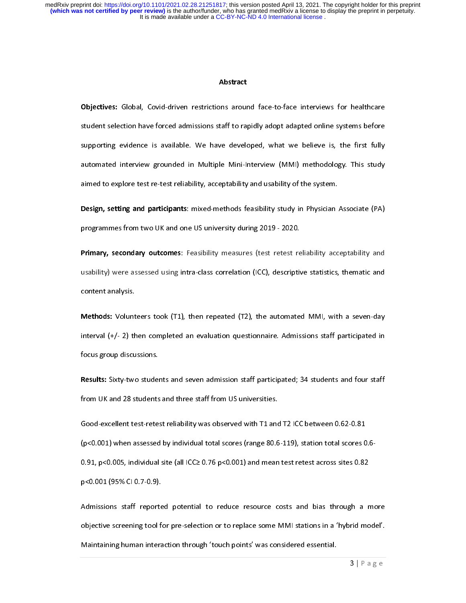#### Abstract

d sa a lift tid if f Superires: Slood, Solid-after restrictions around face-to-face-to-face-to-face-to-face-to-face-to-face-to-face-to-face-to-face-to-face-to-face-to-face-to-face-to-face-to-face-to-face-to-face-to-face-to-face-to-face-to-face supporting evidence is available. We have developed, what we believe is, the first fully<br>automated interview grounded in Multiple Mini-Interview (MMI) methodology. This study<br>aimed to explore test re-test reliability, acce

sutomated interview grounded in Multiple Mini-Interview (MMI) methodology. This study<br>aimed to explore test re-test reliability, acceptability and usability of the system.<br>Design, setting and participants mixed-methods fea aimed to explore test re-test reliability, acceptability and usability of the system.<br>
Design, setting and participants mixed-methods feasibility study in Physician Associate (PA)<br>
programmes from two UK and one US univers Besign, setting and participants: mixed-methods feasibility study in Physician .<br>
programmes from two UK and one US university during 2019 - 2020.<br>
Primary, secondary outcomes: Feasibility measures (test retest reliability Exagin, setting and participants: mixed increases feasibility study in Frigadon Associate (PA)<br>programmes from two UK and one US university during 2019 - 2020.<br>
Primary, secondary outcomes: Feasibility measures (test rele **Primary, secondary outcomes:** Feasibility measures (test retest re<br>usability) were assessed using intra-class correlation (ICC), descriptive<br>content analysis.<br>**Methods:** Volunteers took (T1), then repeated (T2), the auto Financy, secondary outcomes: Feasibling measures (test retest remainity acceptability) wire<br>solability) were assessed using intra-class correlation (ICC), descriptive statistics, thematic and<br>content analysis.<br>Methods: Vol Examples of the statistics of the substitution of the substitution of MML, with a seven-day interval  $\{4/- 2\}$  then completed an evaluation questionnaire. Admissions staff participated in focus group discussions.<br>Results Methods: Volunt<br>interval (+/- 2) th<br>focus group discu<br>Results: Sixty-two<br>from UK and 28 s<br>Good-excellent te<br>(p<0.001) when a<br>0.91, p<0.005, inc<br>p<0.001 (95% Cl (<br>Admissions staff<br>objective screenin<br>Maintaining hum methods: Volumetas took (T2), then repeated (T2), the automated MMI, with a seven-day<br>interval (+/- 2) then completed an evaluation questionnaire. Admissions staff participated in<br>focus group discussions.<br>**Results:** Sixty**interval (+)** focus group discussions.<br>**Results:** Sixty-two students and seven admission staff participated; 34 students and four staff<br>from UK and 28 students and three staff from US universities.<br>Good-excellent test-re Results: Sixty-two studer<br>from UK and 28 students<br>Good-excellent test-rete:<br>(p<0.001) when assessed<br>0.91, p<0.005, individual<br>p<0.001 (95% CI 0.7-0.9)<br>Admissions staff report<br>objective screening tool<br>Maintaining human inte Results: Sixty-two students and seven admission staff participated; 34 students and four staff<br>From UK and 28 students and three staff from US universities.<br>Good-excellent test-retest reliability was observed with T1 and T food-excellent test-retest reliability was observed with T1 and<br>(p<0.001) when assessed by individual total scores (range 80.6<br>0.91, p<0.005, individual site (all ICC≥ 0.76 p<0.001) and mean<br>p<0.001 (95% CI 0.7-0.9).<br>Admis (p<0.001) when assessed by individual total scores (range 80.6-119), station total scores 0<br>
0.91, p<0.005, individual site (all ICC≥ 0.76 p<0.001) and mean test retest across sites 0.82<br>
p<0.001 (95% CI 0.7-0.9).<br>
Admiss

(p=0.001, p<0.005, individual site (all ICC≥ 0.76 p<0.001) and mean test retest across sites 0.82<br>p<0.001 (95% CI 0.7-0.9).<br>Admissions staff reported potential to reduce resource costs and bias through a medijective scree  $p<0.001$  (95% CI 0.7-0.9).<br>Admissions staff reported potential to reduce resource costs and bias through a reportive screening tool for pre-selection or to replace some MMI stations in a 'hybrid mc<br>Maintaining human int P<br>Admissions staff reporte<br>objective screening tool for<br>Maintaining human intera Admissions starf reported potential to reduce resource and and any diversion and bias through objective screening tool for pre-selection or to replace some MMI stations in a 'hybrid model'.<br>Maintaining human interaction th Maintaining human interaction through 'touch points' was considered essential.<br>3 | P a g e Maintaining human interaction through 'touch points' was considered essential.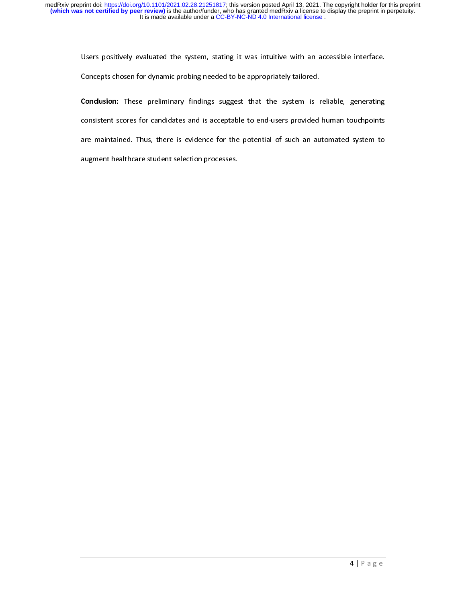Concepts chosen for dynamic probing needed to be appropriately tailored.<br>Conclusion: These preliminary findings suggest that the system is reliable, generating consistent scores for candidates and is acceptable to end-user **Conclusion:** These preliminary findings suggest that the system is a<br>consistent scores for candidates and is acceptable to end-users provided<br>are maintained. Thus, there is evidence for the potential of such an au<br>augment Conclusion: These preliminary findings suggest that the system is related, generating<br>consistent scores for candidates and is acceptable to end-users provided human touchpoints<br>are maintained. Thus, there is evidence for t consistent scheme scores for candidates and is acceptable to end-users processes.<br>The second of such an automated system to<br>augment healthcare student selection processes. augment healthcare student selection processes.<br>Natural of such a selection processes. augment healthcare student selection processes.<br>
The contract of the student selection processes.<br>
The contract of the contract of the student selection processes.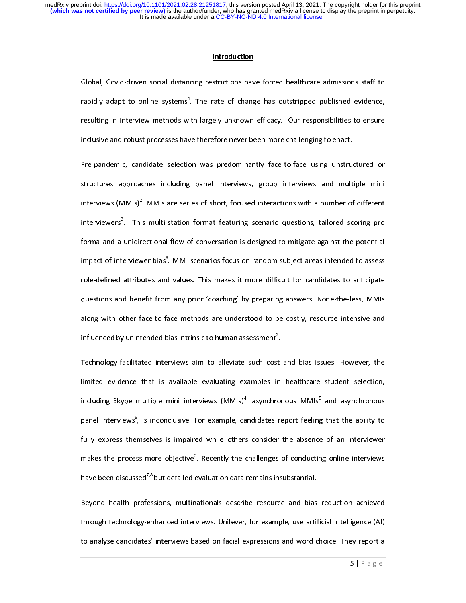#### Introduction

rapidly adapt to online systems<sup>1</sup>. The rate of change has outstripped published evidence, resulting in interview methods with largely unknown efficacy. Our responsibilities to ensure inclusive and robust processes have th rapidly adapt to online systems\*<br>resulting in interview methods wi<br>inclusive and robust processes hav<br>Pre-pandemic, candidate selectic<br>structures approaches including<br>interviewers<sup>3</sup>. This multi-station<br>forma and a unidire <sup>1</sup><br>
th largely unknown efficacy. Our responsibilities to ensure<br>
therefore never been more challenging to enact.<br>
In was predominantly face-to-face using unstructured or<br>
panel interviews, group interviews and multiple mi resulting and robust processes have therefore never been more challenging to enact.<br>
Pre-pandemic, candidate selection was predominantly face-to-face using unstructured or<br>
structures approaches including panel interviews, Pre-pandemic, candidate selection was predominantly face-to-face using unstructures<br>structures approaches including panel interviews, group interviews and mult<br>interviews (MMIs)<sup>2</sup>. MMIs are series of short, focused intera structures approaches including panel interviews, group interviews and multiple mininterviews (MMIs)<sup>2</sup>. MMIs are series of short, focused interactions with a number of different interviewers<sup>3</sup>. This multi-station format interviews (MMIs)<sup>2</sup>. MMIs are series of short, focused interactions with a number of different<br>interviewers<sup>3</sup>. This multi-station format featuring scenario questions, tailored scoring pro<br>forma and a unidirectional flow interviews (MMIs)<sup>2</sup><br>interviewers<sup>3</sup>. Thi<br>forma and a unidir<br>impact of interview<br>role-defined attrib<br>questions and ben<br>along with other f<br>influenced by unint<br>Technology-facilita<br>limited evidence<br>including Skype m<br>panel int s multi-station format featuring scenario questions, tailored scoring pro<br>ectional flow of conversation is designed to mitigate against the potential<br>verbias<sup>3</sup>. MMI scenarios focus on random subject areas intended to asse

interviewers<br>forma and a<br>impact of interviewers<br>role-defined<br>questions and<br>along with o<br>influenced by<br>Technology-fa<br>limited evide<br>including Sky<br>panel intervie<br>fully express<br>makes the pi<br>have been dis<br>Beyond heal:<br>through t unidirectional flow of conversation is designed to mitigate against the potential<br>enviewer bias<sup>3</sup>. MMI scenarios focus on random subject areas intended to assess<br>attributes and values. This makes it more difficult for can impact of interviewer bias<sup>3</sup>. MMI scenarios focus on random subject areas intended to assess<br>role-defined attributes and values. This makes it more difficult for candidates to anticipate<br>questions and benefit from any pr impact of interviewer bias"<br>role-defined attributes anc<br>questions and benefit from<br>along with other face-to-fa<br>influenced by unintended b<br>Technology-facilitated inte<br>limited evidence that is<br>including Skype multiple r<br>pane It values. This makes it more difficult for candidates to anticipate<br>
1 any prior 'coaching' by preparing answers. None-the-less, MMIs<br>
ace methods are understood to be costly, resource intensive and<br>
iais intrinsic to hu questions and benefit from any prior 'coaching' by preparing answers. None-the-less, MMIs<br>along with other face-to-face methods are understood to be costly, resource intensive and<br>influenced by unintended bias intrinsic t independent of the face-to-face methods are understood to be costly, resource intensive and<br>influenced by unintended bias intrinsic to human assessment<sup>2</sup>.<br>Technology-facilitated interviews am to alleviate such cost and b and the with other instantional session of the simulation of the simulation of the simulation of the limited evidence that is available evaluating examples in healthcare student selection, including Skype multiple mini in influenced by unintended bias intrinsic to human assessment<sup>-</sup><br>Technology-facilitated interviews aim to alleviate such cost<br>limited evidence that is available evaluating examples ir<br>including Skype multiple mini interviews . If inited evidence that is available evaluating examples in healthcare student selection,<br>
including Skype multiple mini interviews (MMIs)<sup>4</sup>, asynchronous MMIs<sup>5</sup> and asynchronous<br>
panel interviews<sup>6</sup>, is inconclusive. F including Skype multiple mini interviews  $(MMIs)^4$ , asynchronous  $MMIs^5$  and asynchronous<br>panel interviews<sup>6</sup>, is inconclusive. For example, candidates report feeling that the ability to<br>fully express themselves is impaired including Skype multiple mini interviews (MMIs)<sup>4</sup><br>panel interviews<sup>6</sup>, is inconclusive. For example, ca<br>fully express themselves is impaired while others<br>makes the process more objective<sup>5</sup>. Recently the c<br>have been discu %, asynchronous MMIs<sup>5</sup><br>
ndidates report feeling<br>
s consider the absence<br>
challenges of conductin<br>
remains insubstantial.<br>
De resource and bias<br>
for example, use artifi<br>
xpressions and word ch that the ability to<br>
g of an interviewer<br>
g online interviews<br>
reduction achieved<br>
cial intelligence (AI)<br>
noice. They report a<br>  $\frac{1}{5} | P \circ g$  e panel interviews"<br>fully express the<br>makes the proces<br>have been discuss<br>Beyond health p<br>through technolo<sub>i</sub><br>to analyse candid reporting<br>
smore objective<sup>5</sup>. Recently the challenges of conducting online interviews<br>
sed<sup>7,8</sup> but detailed evaluation data remains insubstantial.<br>
rofessions, multinationals describe resource and bias reduction achieve

makes the process more objective<sup>5</sup>. Recently the challenges of conducting online interviews<br>have been discussed<sup>7,8</sup> but detailed evaluation data remains insubstantial.<br>Beyond health professions, multinationals describe makes the process more objective"<br>have been discussed<sup>7,8</sup> but detailed e<br>Beyond health professions, multin<br>through technology-enhanced inter<br>to analyse candidates' interviews ba evaluation data remains insubstantial.<br>
ationals describe resource and bias reduction achieved<br>
views. Unilever, for example, use artificial intelligence (AI)<br>
ased on facial expressions and word choice. They report a<br>
5 | have been discussed<sup>2,8</sup> but detailed evaluation data remains insubstantial.<br>Beyond health professions, multinationals describe resource and bias<br>through technology-enhanced interviews. Unilever, for example, use artif<br>to Beyond health professions, manufactured activity contains the first contribution and the temperature of through technology-enhanced interviews. Unilever, for example, use artificial intelligence (AI) to analyse candidates to analyse candidates' interviews based on facial expressions and word choice. They report a<br> $5 | P a g e$ to analyse candidates' interviews based on facial expressions and word choice. They report a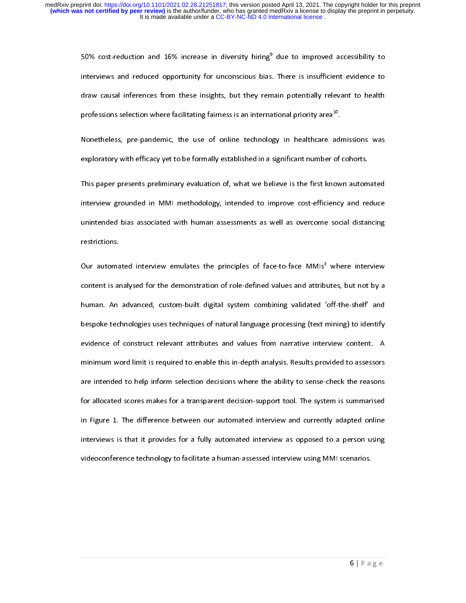50% cost-reduction and 16% increase in diversity hiring<br>interviews and reduced opportunity for unconscious bias<br>draw causal inferences from these insights, but they rem<br>professions selection where facilitating fairness is There is insufficient evidence to<br>
in potentially relevant to health<br>
tional priority area<sup>10</sup>.<br>
gy in healthcare admissions was<br>
significant number of cohorts.<br>
lieve is the first known automated<br>
nprove cost-efficiency draw causal inferences from these insights, but they remain potentially relevant to health<br>professions selection where facilitating fairness is an international priority area<sup>16</sup>.<br>Nonetheless, pre-pandemic, the use of onli professions selection where facilitating fairness is an international priority area<sup>10</sup>.<br>Nonetheless, pre-pandemic, the use of online technology in healthcare admissions was<br>exploratory with efficacy yet to be formally est professions selection where facilitating fairness is an international priority area<sup>21</sup>.<br>Nonetheless, pre-pandemic, the use of online technology in healthcare adexploratory with efficacy yet to be formally established in a Exploratory with efficacy yet to be formally established in a significant number of cohorts.<br>This paper presents preliminary evaluation of, what we believe is the first known automated<br>interview grounded in MMI methodology exploration, the behinding procedure of controlled the first known autominated in the first constrained in the first constrained in the first constrained in a unintended bias associated with human assessments as well as ov interview grounded in MMI methodology, intended to improve cost-efficiency and reduce<br>unintended bias associated with human assessments as well as overcome social distancing<br>restrictions.<br>Our automated interview emulates t interview is associated with human assessments as well as overcome social distancing<br>restrictions.<br>Our automated interview emulates the principles of face-to-face MMIs<sup>3</sup> where interview<br>content is analysed for the demonst restrictions.<br>Our automated interview emulates the principles of face-to-face MMIs<sup>3</sup> where interview<br>content is analysed for the demonstration of role-defined values and attributes, but not by a<br>buman. An advanced, custom Current is an and the matter<br>ontent is an an an an an an an angle is also detected<br>evidence of minimum ware intended<br>for allocated in Figure 1.<br>interviews is videoconfere Our automated interview emulates the principles of face-to-face MMIs"<br>content is analysed for the demonstration of role-defined values and attrib<br>human. An advanced, custom-built digital system combining validated<br>despoke utes, but not by a<br>off-the-shelf' and<br>mining) to identify<br>view content. A<br>vided to assessors<br>check the reasons<br>em is summarised<br>ly adapted online<br>to a person using<br>1MI scenarios.<br>6 | Page the demonstrand and a mediated for the demonstration of relationships and the demonstration of relationships and despote technologies uses techniques of natural language processing (text mining) to identify evidence of con bespoke technologies uses techniques of natural language processing (text mining) to identify<br>evidence of construct relevant attributes and values from narrative interview content. A<br>minimum word limit is required to enab bespoke of construct relevant attributes and values from narrative interview content. A<br>minimum word limit is required to enable this in-depth analysis. Results provided to assessors<br>are intended to help inform selection d minimum word limit is required to enable this in-depth analysis. Results provided to assessors<br>are intended to help inform selection decisions where the ability to sense-check the reasons<br>for allocated scores makes for a t are intended to help inform selection decisions where the ability to sense-check the reasons<br>for allocated scores makes for a transparent decision-support tool. The system is summarised<br>in Figure 1. The difference between for allocated scores makes for a transparent decision-support tool. The system is summarised<br>in Figure 1. The difference between our automated interview and currently adapted online<br>interviews is that it provides for a fu For a figure 1. The difference between our automated interview and currently adapted online<br>interviews is that it provides for a fully automated interview as opposed to a person using<br>videoconference technology to facilit in Figure 1. The difference between our automated interview<br>interviews is that it provides for a fully automated interview a<br>videoconference technology to facilitate a human-assessed inter<br>videoconference technology to fac and currently a supposed to a person using<br>view using MMI scenarios.<br> $6 | P \text{ a } g \text{ e}$ interference technology to facilitate a human-assessed interview using MMI scenarios.<br>Videoconference technology to facilitate a human-assessed interview using MMI scenarios.<br>6 | P a g e videoconference technology to facilitate a human-assessed interview using MMI scenarios.<br>
6 | P a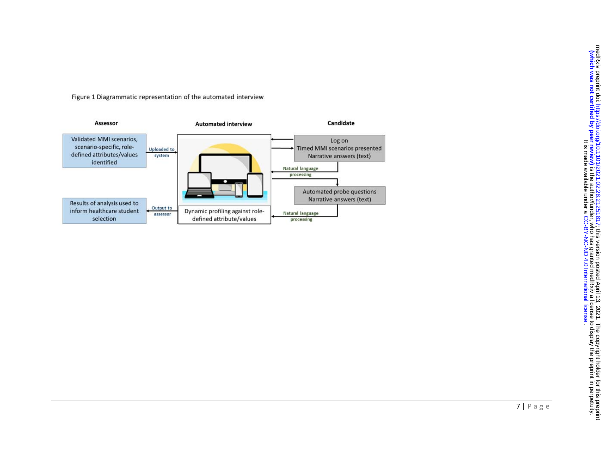Figure 1 Diagrammatic representation of the automated interview

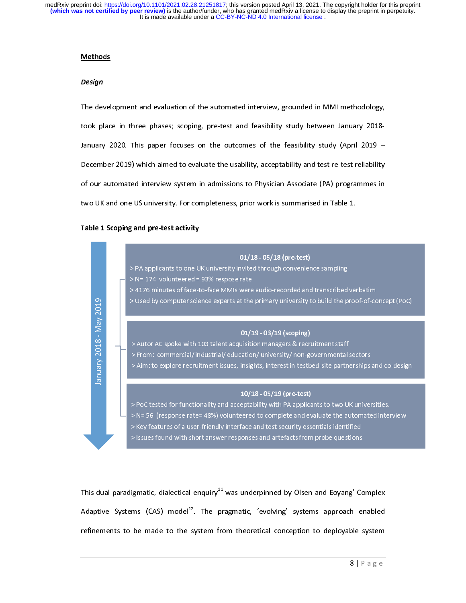#### Methods

# Design

The development and feasibility study between January 2018-<br>January 2020. This paper focuses on the outcomes of the feasibility study (April 2019 –<br>December 2019) which aimed to evaluate the usability, acceptability and te took planuary 2020. This paper focuses on the outcomes of the feasibility study (April 2019 –<br>December 2019) which aimed to evaluate the usability, acceptability and test re-test reliability<br>of our automated interview syst December 2019) which aimed to evaluate the usability, acceptability and test re-test reliability<br>of our automated interview system in admissions to Physician Associate (PA) programmes in<br>two UK and one US university. For c Of our automated interview system in admissions to Physician Associate (PA) programmes in<br>two UK and one US university. For completeness, prior work is summarised in Table 1.<br>Table 1 Scoping and pre-test activity

# Table 1 Scoping and pre-test activity



 $\frac{1}{2}$ This dual paradigmatic, dialectical enquiry<sup>11</sup> was underpinned by Olsen and Eoyang' Complex<br>Adaptive Systems (CAS) model<sup>12</sup>. The pragmatic, 'evolving' systems approach enabled<br>refinements to be made to the system from t Adaptive Systems (CAS) model<sup>--</sup>. The pragmatic, evolving systems approach enabled<br>
refinements to be made to the system from theoretical conception to deployable system<br>  $8 | P a g e$ refinements to be made to the system of the system from the system of the system of the system of the system of the system of the system of the system of the system of the system of the system of the system of the system o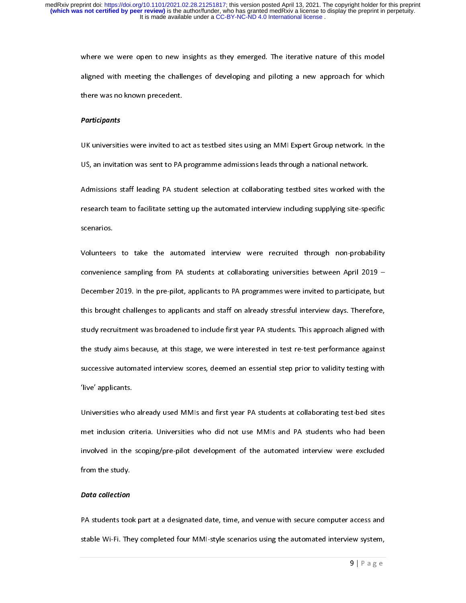aligned with meeting the challenges of developing and piloting a new approach for which<br>there was no known precedent.<br>Participants aligned with meeting with meeting the challenges of the challenges of the challenges of the challenges of the participants<br>DK universities were invited to act as testbed sites using an MMI Expert Group network. In the

#### **Participants**

**Participants**<br>UK universities were invited to a<br>US, an invitation was sent to PA

US, an invitation was sent to PA programme admissions leads through a national network.<br>Admissions staff leading PA student selection at collaborating testbed sites worked with the<br>research team to facilitate setting up th Admissions staff leading PA student selection at collaborating testbed sites worked with<br>research team to facilitate setting up the automated interview including supplying site-spe<br>scenarios. Administration start leading PA statistic leading Particle in the statistic in the statistic metric in the student state in the student state in the student selection state of the students were at collaborating universitie

scenarios.<br>Volunteers to take the automated interview were recruited through non-probability<br>convenience sampling from PA students at collaborating universities between April 2019 –<br>December 2019 in the pre-pilot applicant Volunteers<br>convenien<br>December<br>this brougl Convenience sampling from PA students at collaborating universities between April 2019 –<br>December 2019. In the pre-pilot, applicants to PA programmes were invited to participate, but<br>this brought challenges to applicants a December 2019. In the pre-pilot, applicants to PA programmes were invited to participate, but<br>this brought challenges to applicants and staff on already stressful interview days. Therefore,<br>study recruitment was broadened The pre-pilot of the pre-pilot of the pre-pilot of the pre-pilot of this brought challenges to applicants and staff on already stressful interview days. Therefore, study recruitment was broadened to include first year PA s tudy recruitment was broadened to include first year PA students. This approach aligned with<br>the study aims because, at this stage, we were interested in test re-test performance against<br>successive automated interview scor study recruitment was because, at this stage, we were interested in test re-test performance against<br>successive automated interview scores, deemed an essential step prior to validity testing with<br>five' applicants. successive automated interview scores, deemed an essential step prior to validity testing with<br>
"live" applicants.<br>
Universities who already used MMIs and first year PA students at collaborating test-bed sites<br>
mot inclusi

Successive automated interview scores in the material step prior to validity testing with<br>"Universities who already used MMIs and first year PA students at collaborating test-bed sites<br>met inclusion criteria. Universities Universities who<br>met inclusion crinvolved in the<br>from the study The inclusion criteria. Universities who did not use MMIs and PA students who had been<br>involved in the scoping/pre-pilot development of the automated interview were excluded<br>from the study.<br>Deta collection met include the studies who had not use MMIS and PA students who had not use  $\frac{1}{2}$ <br>involved in the scoping/pre-pilot development of the automated interview were excluded<br>from the study.<br>Data collection from the study.<br>From the study.<br>PA students took part at a designated date, time, and venue with secure computer access and

# Data collection

)<br>**Data collection**<br>PA students too<br>stable Wi-Fi. The Stable Wi-Fi. They completed four MMI-style scenarios using the automated interview system,<br>g  $\vert$  P a g e stable Wi-Fi. They complete four Mi-style scenarios using the automated interview system, and the automated in<br>Second interview system, and the automated interview system, and the automated interview system, and the automa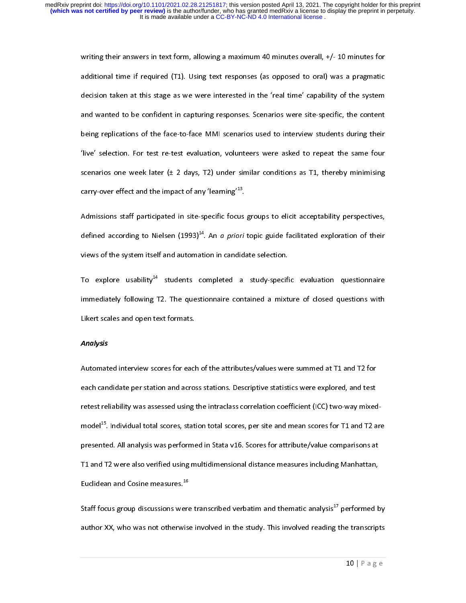additional time if required (T1). Using text responses (as opposed to oral) was a pragmatic<br>decision taken at this stage as we were interested in the 'real time' capability of the system<br>and wanted to be confident in captu decision taken at this stage as we were interested in the 'real time' capability of the system<br>and wanted to be confident in capturing responses. Scenarios were site-specific, the content<br>being replications of the face-toand wanted to be confident in capturing responses. Scenarios were site-specific, the content<br>being replications of the face-to-face MMI scenarios used to interview students during their<br>'live' selection. For test re-test e being replications of the face-to-face MMI scenarios used to interview students during their<br>'live' selection. For test re-test evaluation, volunteers were asked to repeat the same four<br>scenarios one week later (± 2 days, Five' selection. For test re-test evaluation, volunteers were asked to repeat the same four<br>scenarios one week later (± 2 days, T2) under similar conditions as T1, thereby minimising<br>carry-over effect and the impact of an scenarios one week later (± 2 days, T2) under similar conditions as T1, thereby minimising<br>carry-over effect and the impact of any 'learning'<sup>13</sup>.<br>Admissions staff participated in site-specific focus groups to elicit acce

carry-over effect and the impact of any 'learning'<sup>13</sup>.<br>Admissions staff participated in site-specific focus groups to elicit acceptability perspectives,<br>defined according to Nielsen  $(1993)^{14}$ . An *a priori* topic guid carry-over effect and the impact of any 'learning'<br>Admissions staff participated in site-specific focus<br>defined according to Nielsen (1993)<sup>14</sup>. An *a priori*<br>views of the system itself and automation in candida defined according to Nielsen  $(1993)^{14}$ . An *a priori* topic guide facilitated exploration of their<br>views of the system itself and automation in candidate selection.<br>To explore usability<sup>14</sup> students completed a study-s

defined according to Nielsen (1993)<sup>14</sup>. An *a priori* topic guide facilitated exploration of their<br>views of the system itself and automation in candidate selection.<br>To explore usability<sup>14</sup> students completed a study-spec To explore usability<sup>14</sup> students completed a study-specifity immediately following T2. The questionnaire contained a mixt<br>Likert scales and open text formats. To explore usability students completed a study-specific evaluation questionnaire<br>immediately following T2. The questionnaire contained a mixture of closed questions with<br>Likert scales and open text formats.<br>Analysis Likert scales and open text formats.<br>Analysis<br>Automated interview scores for each of the attributes/values were summed at T1 and T2 for

# Analysis

Likert scales and open team text<br>Analysis<br>Automated interview scores for each<br>each candidate per station and acros Automated interview scores for the attributes, takes intervalues at the and test<br>each candidate per station and across stations. Descriptive statistics were explored, and test<br>retest reliability was assessed using the intr retest reliability was assessed using the intraclass correlation coefficient (ICC) two-way mixed<br>model<sup>15</sup>. Individual total scores, station total scores, per site and mean scores for T1 and T2 a<br>presented. All analysis wa Euclidean and Cosine measures.<sup>16</sup> model<sup>--</sup>. Individual total scores, station total scores, per site and mean scores for T1 and T2 are<br>presented. All analysis was performed in Stata v16. Scores for attribute/value comparisons at<br>T1 and T2 were also verifie presented. All and T2 were also verified using multidimensional distance measures including Manhattan,<br>Euclidean and Cosine measures.<sup>16</sup><br>Staff focus group discussions were transcribed verbatim and thematic analysis<sup>17</sup> pe

Euclidean and Cosine measures.<sup>16</sup><br>Staff focus group discussions were transcribed verbatim and thematic analysis<sup>17</sup> performed k<br>author XX, who was not otherwise involved in the study. This involved reading the transcrip Euclidean and Cosine measures.<br>Staff focus group discussions were<br>author XX, who was not otherwise Staff focus group discussions were transcribed verbatim and thematic analysis aperformed by<br>10 author XX, who was not otherwise involved in the study. This involved reading the transcripts<br>10 | P a g e  $10 |P \text{ a } g$  e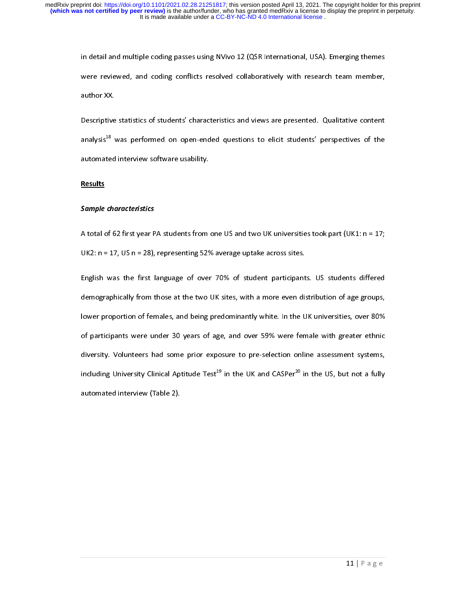were reviewed, and coding conflicts resolved collaboratively with research team member,<br>author XX.<br>Descriptive statistics of students' characteristics and views are presented. Qualitative content

were reviewed.<br>
Summary and the XX.<br>
Descriptive statistics of students' characteristics and views are presented. Qualitative content<br>
analysis<sup>18</sup> was performed on open-ended questions to elicit students' perspectives of Descriptive<br>analysis<sup>18</sup> \<br>automated analysis<sup>18</sup> was performed on open-ended questions to elicit students' perspectives of the automated interview software usability.<br>Results analysis Was performed on open-ended questions to elicit students perspectives of the<br>automated interview software usability.<br>Results

# **Results**

# Sample characteristics

and the control of the software<br>Results<br>Sample characteristics<br>A total of 62 first year PA students from

UK2: n = 17, US n = 28), representing 52% average uptake across sites.<br>English was the first language of over 70% of student participants. US students differed<br>demographically from those at the two UK sites, with a more e English was the first language of over 70% of student participant<br>demographically from those at the two UK sites, with a more even dis<br>lower proportion of females, and being predominantly white. In the U Engly demographically from those at the two UK sites, with a more even distribution of age groups,<br>lower proportion of females, and being predominantly white. In the UK universities, over 80%<br>of participants were under 30 dower proportion of females, and being predominantly white. In the UK universities, over 80%<br>of participants were under 30 years of age, and over 59% were female with greater ethnic<br>diversity. Volunteers had some prior ex of participants were under 30 years of age, and over 59% were female with greater ethnic<br>diversity. Volunteers had some prior exposure to pre-selection online assessment systems,<br>including University Clinical Aptitude Test diversity. Volunteers had some prior exposure to pre-selection online assessment systems,<br>including University Clinical Aptitude Test<sup>19</sup> in the UK and CASPer<sup>20</sup> in the US, but not a fully<br>automated interview (Table 2). including University Clinical Aptitude Test<sup>19</sup> in the UK and CASPer<sup>20</sup> in the US, but not a fully automated interview (Table 2). including University Clinical Aptitude Test Tim the UK and CASPer20 in the US, but not a fully<br>automated interview (Table 2).  $\sum_{i=1}^{n}$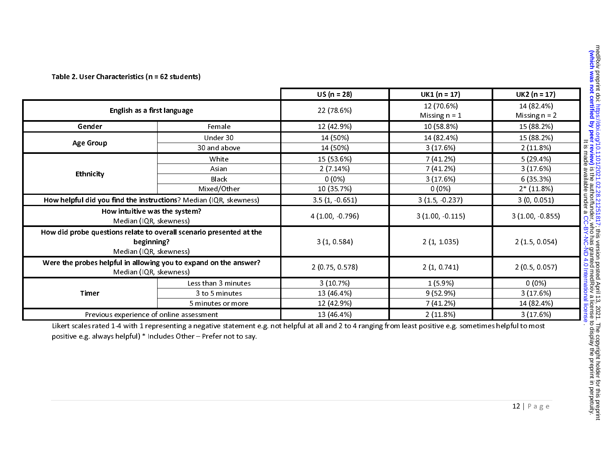|                                                                                                             |                                               | $US (n = 28)$                                    | $UK1 (n = 17)$                                | $UK2 (n = 17)$                                  |
|-------------------------------------------------------------------------------------------------------------|-----------------------------------------------|--------------------------------------------------|-----------------------------------------------|-------------------------------------------------|
| English as a first language                                                                                 |                                               | 22 (78.6%)                                       | 12 (70.6%)<br>Missing $n = 1$                 | 14 (82.4%)<br>Missing $n = 2$                   |
| Gender                                                                                                      | Female                                        | 12 (42.9%)                                       | 10 (58.8%)                                    | 15 (88.2%)                                      |
| <b>Age Group</b>                                                                                            | Under 30<br>30 and above                      | 14 (50%)<br>14 (50%)                             | 14 (82.4%)<br>3(17.6%)                        | 15 (88.2%)<br>2(11.8%)                          |
| Ethnicity                                                                                                   | White<br>Asian<br><b>Black</b><br>Mixed/Other | 15 (53.6%)<br>2(7.14%)<br>$0(0\%)$<br>10 (35.7%) | 7 (41.2%)<br>7(41.2%)<br>3(17.6%)<br>$0(0\%)$ | 5(29.4%)<br>3(17.6%)<br>6(35.3%)<br>$2*(11.8%)$ |
| How helpful did you find the instructions? Median (IQR, skewness)                                           |                                               | $3.5(1, -0.651)$                                 | $3(1.5, -0.237)$                              | 3(0, 0.051)                                     |
| How intuitive was the system?<br>Median (IQR, skewness)                                                     |                                               | 4 (1.00, -0.796)                                 | 3(1.00, 0.115)                                | $3(1.00, -0.855)$                               |
| How did probe questions relate to overall scenario presented at the<br>beginning?<br>Median (IQR, skewness) |                                               | 3(1, 0.584)                                      | 2(1, 1.035)                                   | 2(1.5, 0.054)                                   |
| Were the probes helpful in allowing you to expand on the answer?<br>Median (IQR, skewness)                  |                                               | 2 (0.75, 0.578)                                  | 2(1, 0.741)                                   | 2(0.5, 0.057)                                   |
| Timer                                                                                                       | Less than 3 minutes                           | 3(10.7%)                                         | $1(5.9\%)$                                    | $0(0\%)$                                        |
|                                                                                                             | 3 to 5 minutes                                | 13 (46.4%)                                       | 9 (52.9%)                                     | 3(17.6%)                                        |
|                                                                                                             | 5 minutes or more                             | 12 (42.9%)                                       | 7 (41.2%)                                     | 14 (82.4%)                                      |
| Previous experience of online assessment                                                                    |                                               | 13 (46.4%)                                       | 2(11.8%)                                      | 3(17.6%)                                        |

Table 2. User Characteristics (n = 62 students)

Likert scales rated 1-4 with 1 representing a negative statement e.g. not helpful at all and 2 to 4 ranging from least positive e.g. sometimes helpful to most positive e.g. always helpful) \* Includes Other – Prefer not to say.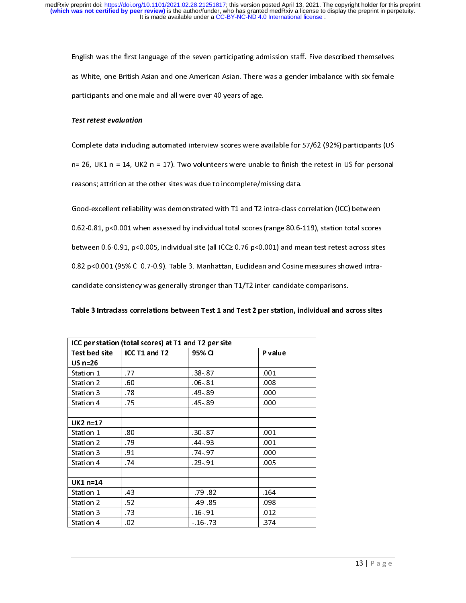#### Test retest evaluation

English and one are applied to the seven participants and one american Asian. There was a gender imbalance with six female<br>
anticipants and one male and all were over 40 years of age.<br>
Fest retest evaluation<br>
Complete dat participants and one male and all were over 40 years of age.<br> **Fest retest evaluation**<br>
Complete data including automated interview scores were available for 57/62 (92%) participants (US<br>
n= 26, UK1 n = 14, UK2 n = 17). T

# Table 3 Intraclass correlations between Test 1 and Test 2 per station, individual and across sites

| <b>Test retest evaluation</b>                                                                      |                                                      |                                                                                                    |         |                                                                                                        |
|----------------------------------------------------------------------------------------------------|------------------------------------------------------|----------------------------------------------------------------------------------------------------|---------|--------------------------------------------------------------------------------------------------------|
| Complete data including automated interview scores were available for 57/62 (92%) participants (US |                                                      |                                                                                                    |         |                                                                                                        |
|                                                                                                    |                                                      |                                                                                                    |         | $n=$ 26, UK1 $n=$ 14, UK2 $n=$ 17). Two volunteers were unable to finish the retest in US for personal |
|                                                                                                    |                                                      | reasons; attrition at the other sites was due to incomplete/missing data.                          |         |                                                                                                        |
|                                                                                                    |                                                      |                                                                                                    |         |                                                                                                        |
|                                                                                                    |                                                      | Good-excellent reliability was demonstrated with T1 and T2 intra-class correlation (ICC) between   |         |                                                                                                        |
|                                                                                                    |                                                      | 0.62-0.81, p<0.001 when assessed by individual total scores (range 80.6-119), station total scores |         |                                                                                                        |
|                                                                                                    |                                                      | 0.82 p<0.001 (95% CI 0.7-0.9). Table 3. Manhattan, Euclidean and Cosine measures showed intra-     |         | between 0.6-0.91, p<0.005, individual site (all ICC≥ 0.76 p<0.001) and mean test retest across sites   |
|                                                                                                    |                                                      | candidate consistency was generally stronger than T1/T2 inter-candidate comparisons.               |         |                                                                                                        |
|                                                                                                    |                                                      |                                                                                                    |         |                                                                                                        |
|                                                                                                    |                                                      | Table 3 Intraclass correlations between Test 1 and Test 2 per station, individual and across sites |         |                                                                                                        |
|                                                                                                    | ICC per station (total scores) at T1 and T2 per site |                                                                                                    |         |                                                                                                        |
| Test bed site<br>$US n=26$                                                                         | ICC T1 and T2                                        | 95% CI                                                                                             | P value |                                                                                                        |
| Station 1                                                                                          | .77                                                  | 38 87                                                                                              | .001    |                                                                                                        |
| Station 2                                                                                          | .60                                                  | .06 81                                                                                             | .008    |                                                                                                        |
| Station 3                                                                                          | .78                                                  | 49 89                                                                                              | .000    |                                                                                                        |
| Station 4                                                                                          | 75                                                   | 45 89                                                                                              | .000    |                                                                                                        |
|                                                                                                    |                                                      |                                                                                                    |         |                                                                                                        |
| UK2 n=17                                                                                           |                                                      |                                                                                                    |         |                                                                                                        |
| Station 1                                                                                          | .80                                                  | 30.87                                                                                              | .001    |                                                                                                        |
| Station 2                                                                                          | .79                                                  | 44 93                                                                                              | .001    |                                                                                                        |
| Station 3                                                                                          | .91                                                  | 74 97                                                                                              | .000    |                                                                                                        |
|                                                                                                    | 74                                                   | 29 91                                                                                              | .005    |                                                                                                        |
| Station 4                                                                                          |                                                      |                                                                                                    |         |                                                                                                        |
| UK1 n=14                                                                                           |                                                      |                                                                                                    |         |                                                                                                        |
| Station 1                                                                                          | .43                                                  | 79.82                                                                                              | .164    |                                                                                                        |
| Station 2                                                                                          | 52                                                   | 49 85                                                                                              | .098    |                                                                                                        |
| Station 3                                                                                          | .73                                                  | 16 91                                                                                              | .012    |                                                                                                        |
| Station 4                                                                                          | .02                                                  | $-16 - 73$                                                                                         | 374     |                                                                                                        |
|                                                                                                    |                                                      |                                                                                                    |         | $13$   P a g e                                                                                         |
|                                                                                                    |                                                      |                                                                                                    |         |                                                                                                        |
|                                                                                                    |                                                      |                                                                                                    |         |                                                                                                        |
|                                                                                                    |                                                      |                                                                                                    |         |                                                                                                        |
|                                                                                                    |                                                      |                                                                                                    |         |                                                                                                        |
|                                                                                                    |                                                      |                                                                                                    |         |                                                                                                        |
|                                                                                                    |                                                      |                                                                                                    |         |                                                                                                        |
|                                                                                                    |                                                      |                                                                                                    |         |                                                                                                        |
|                                                                                                    |                                                      |                                                                                                    |         |                                                                                                        |
|                                                                                                    |                                                      |                                                                                                    |         |                                                                                                        |
|                                                                                                    |                                                      |                                                                                                    |         |                                                                                                        |
|                                                                                                    |                                                      |                                                                                                    |         |                                                                                                        |
|                                                                                                    |                                                      |                                                                                                    |         |                                                                                                        |
|                                                                                                    |                                                      |                                                                                                    |         |                                                                                                        |
|                                                                                                    |                                                      |                                                                                                    |         |                                                                                                        |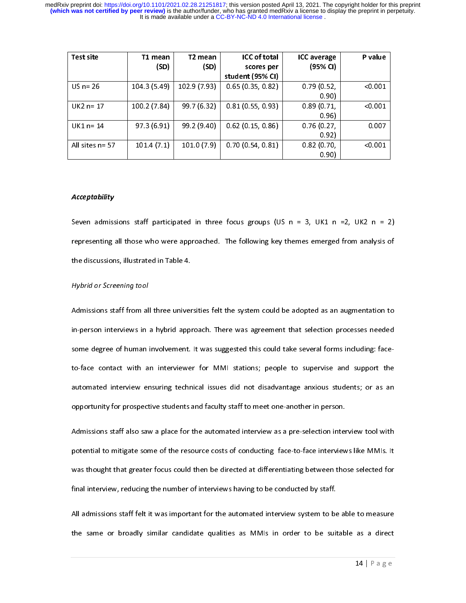| Test site          | T1 mean      | T2 mean      | <b>ICC of total</b> | <b>ICC</b> average | P value |
|--------------------|--------------|--------------|---------------------|--------------------|---------|
|                    | (SD)         | (SD)         | scores per          | (95% CI)           |         |
|                    |              |              | student (95% CI)    |                    |         |
| US $n = 26$        | 104.3 (5.49) | 102.9 (7.93) | 0.65(0.35, 0.82)    | 0.79(0.52,         | < 0.001 |
|                    |              |              |                     | 0.90)              |         |
| $UK2 n = 17$       | 100.2 (7.84) | 99.7 (6.32)  | 0.81(0.55, 0.93)    | 0.89(0.71,         | < 0.001 |
|                    |              |              |                     | 0.96)              |         |
| $UK1n = 14$        | 97.3(6.91)   | 99.2 (9.40)  | $0.62$ (0.15, 0.86) | 0.76(0.27,         | 0.007   |
|                    |              |              |                     | 0.92)              |         |
| All sites $n = 57$ | 101.4(7.1)   | 101.0(7.9)   | 0.70(0.54, 0.81)    | 0.82(0.70,         | < 0.001 |
|                    |              |              |                     | 0.90               |         |

#### **Acceptability**

#### Hybrid or Screening tool

UK2 n= 17 100.2 (7.84) 99.7 (6.32) 0.81 (0.55, 0.93) 0.80<br>
UK1 n= 14 97.3 (6.91) 99.2 (9.40) 0.62 (0.15, 0.86) 0.75 (0.27,<br>
0.89)<br>
UK1 n= 14 97.3 (6.91) 99.2 (9.40) 0.62 (0.15, 0.86) 0.76 (0.27,<br>
All sites n= 57 101.4 (7. 0.90)  $\sqrt{0.001}$ <br>0.007<br> $\sqrt{0.001}$ <br> $\sqrt{0.001}$ <br>2 n =<br>nalysis<br>tation<br>s neede<br>ing: fac  $2(0.11)$ <br>
UK1 n= 14  $37.3(6.91)$   $39.2(9.40)$   $0.62(0.15, 0.86)$   $0.76(0.27, 0.87)$ <br>
All sites n= 57  $101.4(7.1)$   $101.0(7.9)$   $0.70(0.54, 0.81)$   $0.82(0.70, 0.92)$ <br>
All sites n= 57  $101.4(7.1)$   $101.0(7.9)$   $0.70(0.54,$ 0.27,<br>
0.27,<br>
0.92)<br>
0.70,<br>
0.90)<br>
K1 n<br>
erged<br>
x as an tion p<br>
yise<br>
sus st<br>
perso<br>
ion in paralling <0.001 All sites n= 57 101.4 (7.1) 101.0 (7.9) 0.70 (0.54, 0.81) 0.82 (0.70, 0.92)<br>
Acceptability<br>
Seven admissions staff participated in three focus groups (US n = 3, UK1 n<br>
representing all those who were approached. The follo marry (0.70, 0.90)<br>
(0.70, 0.90)<br>
(0.90)<br>
(1.92)<br>
(1.92)<br>
(1.92)<br>
(1.92) 0.001<br>
n =<br>
alysis<br>
ation<br>
need<br>
ng: fac<br>
ool wi<br>
MMIs. Acceptability<br>
Seven admissions staff participated in three focus groups (US  $n = 3$ , UK1 n<br>
representing all those who were approached. The following key themes emerged<br>
the discussions, illustrated in Table 4.<br>
Hybrid or K1 n<br>erged<br>as an tion p<br>or torm<br>vise<br>sus st<br>persodion in<br>thervies<br>to the t 2 n =<br>nalysis<br>tation<br>s neede<br>ing: fac<br>port th<br>or as a<br>tool wi<br>MMIs.<br>ected f Alst the face Alst Chine Alst the face of the service of the service of the service of the service of the service of the service of the service of the service of the service of the service of the service of the service of the service of the servic representing all those who were approached. The following key themes emerged from analysis of<br>the discussions, illustrated in Table 4.<br>Hybrid or Screening tool<br>Admissions staff from all three universities felt the system c the discussions, illustrated in Table 4.<br>
Hotel discussions, illustrated in Table 4.<br>
Admissions staff from all three universities felt the system could be adopted as an augmentation to<br>
in-person interviews in a hybrid a Hybrid or Screening tool<br>Admissions staff from all three univer<br>in-person interviews in a hybrid appi<br>some degree of human involvement.<br>to-face contact with an interviewe<br>automated interview ensuring techn<br>opportunity for In-person interviews in a hybrid approach. There was agreement that selection processes needed<br>some degree of human involvement. It was suggested this could take several forms including: face-<br>to-face contact with an inte isome degree of human involvement. It was suggested this could take several forms including: face-<br>to-face contact with an interviewer for MMI stations; people to supervise and support the<br>automated interview ensuring tec

to the sum of the matrice of the sum substant, people to supervise and support and substants and a<br>papertunity for prospective students and faculty staff to meet one-another in person.<br>Admissions staff also saw a place for by apportunity for prospective students and faculty staff to meet one-another in person.<br>
Admissions staff also saw a place for the automated interview as a pre-selection interview tool with<br>
potential to mitigate some of Figures 3.1 The staff also saw a place for the automated interview as a pre-selection interpotential to mitigate some of the resource costs of conducting face-to-face interview<br>was thought that greater focus could then be Potential to mitigate some of the resource costs of conducting face-to-face interviews like MMIs. It<br>was thought that greater focus could then be directed at differentiating between those selected for<br>final interview, red mas thought that greater focus could then be directed at differentiating between those selected for final interview, reducing the number of interviews having to be conducted by staff.<br>All admissions staff felt it was impor

Final interview, reducing the number of interviews having to be conducted by staff.<br>All admissions staff felt it was important for the automated interview system to be able to measure<br>the same or broadly similar candidate All admissions staff felt it was important for the automated interview system to be<br>the same or broadly similar candidate qualities as MMIs in order to be suit the same or broadly similar candidate qualities as MMIs in order to be suitable as a direct<br>  $14 | P a g e$ the same or broadly similar candidate qualities as MMIS in order to be suitable as  $\frac{1}{4}$  in  $\frac{1}{4}$  in  $\frac{1}{4}$  in  $\frac{1}{4}$  in  $\frac{1}{4}$  in  $\frac{1}{4}$  in  $\frac{1}{4}$  in  $\frac{1}{4}$  in  $\frac{1}{4}$  in  $\frac{1}{4}$  in  $\frac{1}{4}$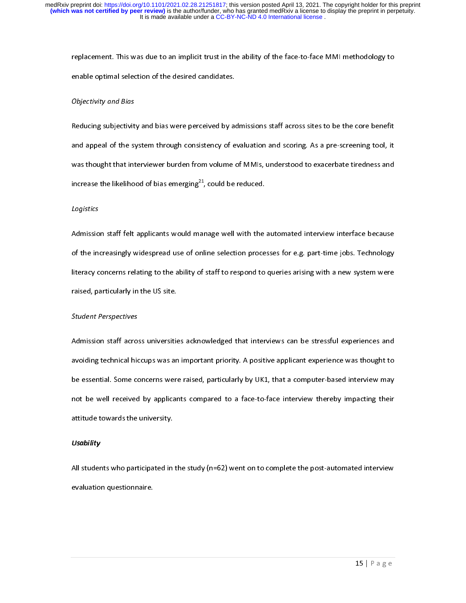# Objectivity and Bias

replace optimal selection of the desired candidates.<br>
Cobjectivity and Bias<br>
Reducing subjectivity and bias were perceived by admissions staff across sites to be the core benefit<br>
and appeal of the system through consisten

# Logistics

# Student Perspectives

Objectivity and Bias<br>Reducing subjectivity and bias were perceived by a<br>and appeal of the system through consistency of e<br>was thought that interviewer burden from volume i<br>increase the likelihood of bias emerging<sup>21</sup>, coul and appeal of the system through consistency of evaluation and scoring. As a pre-screening tool, it<br>and appeal of the system through consistency of evaluation and scoring. As a pre-screening tool, it<br>and thought that inter and should that interviewer burden from volume of MMIs, understood to exacerbate tiredness and<br>noresase the likelihood of bias emerging<sup>21</sup>, could be reduced.<br>Logistics<br>dimission staff felt applicants would manage well wit increase the likelihood of bias emerging<sup>21</sup>, could be reduced.<br>Logistics<br>Admission staff felt applicants would manage well with the automated interview interface because<br>of the increasingly widespread use of online select increase the likelihood of bias emerging"", could be reduced.<br>Logistics<br>Admission staff felt applicants would manage well with the<br>of the increasingly widespread use of online selection proce<br>literacy concerns relating to of the increasingly widespread use of online selection processes for e.g. part-time jobs. Technology<br>Ilteracy concerns relating to the ability of staff to respond to queries arising with a new system were<br>raised, particula of the increasing the increasing the increasing the increasing the increasing with a new system were raised, particularly in the US site.<br>
Student Perspectives<br>
Admission staff across universities acknowledged that intervi raised, particularly in the US site.<br>
Student Perspectives<br>
Admission staff across universities acknowledged that interviews can be stressful experiences and<br>
avoiding technical hiccups was an important priority. A positi Student Perspectives<br>Admission staff across universitie<br>avoiding technical hiccups was an<br>be essential. Some concerns were<br>not be well received by applicar<br>attitude towards the university.<br>Usability<br>All students who partic Admission stating actions was an important priority. A positive applicant experience was thought to<br>be essential. Some concerns were raised, particularly by UK1, that a computer-based interview may<br>not be well received by be essential. Some concerns were raised, particularly by UK1, that a computer-based interview may<br>not be well received by applicants compared to a face-to-face interview thereby impacting their<br>attitude towards the univer be essential and the concerns were raised, particularly by Some computer-based interview thereby impacting their<br>attitude towards the university.<br>Usability<br>All students who participated in the study (n=62) went on to compl

# **Usability**

not be well received by applicants compared to a factor interview interview interview that the miversity.<br>
Usability<br>
All students who participated in the study (n=62) went on to complete the post-automated interview<br>
eval **Usability**<br>All students who participated in<br>evaluation questionnaire.<br>. All students who participated in the study (n=62) went on to complete the post-automated interview evaluation questionnaire.<br> $15 | P a g e$ evaluation questionnaire.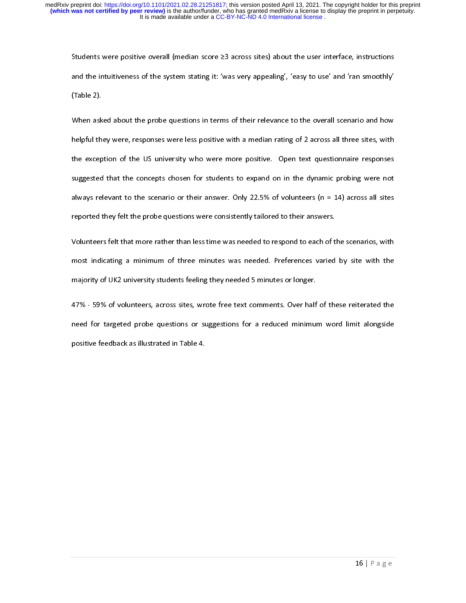and the intultiveness of the system stating it: "was very appealing", "easy to use" and "ran smoothly"<br>(Table 2).<br>Table 2).<br>When asked about the probe questions in terms of their relevance to the overall scenario and how<br>h (Table 2).<br>When asked about the probe questions in terms of their relevance to the overall scenario and how<br>helpful they were, responses were less positive with a median rating of 2 across all three sites, with<br>the excepti When ask<br>helpful the<br>the excep<br>suggested<br>always rel<br>reported t<br>Volunteer<br>most indi<br>majority c<br>47% - 599<br>need for<br>positive fe helpful they were, responses were less positive with a median rating of 2 across all three sites, with<br>the exception of the US university who were more positive. Open text questionnaire responses<br>suggested that the concept the exception of the US university who were more positive. Open text questionnaire responses suggested that the concepts chosen for students to expand on in the dynamic probing were not always relevant to the scenario or t suggested that the concepts chosen for students to expand on in the dynamic probing were not<br>always relevant to the scenario or their answer. Only 22.5% of volunteers (n = 14) across all sites<br>reported they felt the probe

subways relevant to the scenario or their answer. Only 22.5% of volunteers (n = 14) across all sites<br>reported they felt the probe questions were consistently tailored to their answers.<br>Volunteers felt that more rather than reported they felt the probe questions were consistently tailored to their answers.<br>
Yolunteers felt that more rather than less time was needed to respond to each of the scenarios, with<br>
most indicating a minimum of three reproducent that more rather than less time was needed to respond to each of the most indicating a minimum of three minutes was needed. Preferences varied majority of UK2 university students feeling they needed 5 minutes o most indicating a minimum of three minutes was needed. Preferences varied by site with the majority of UK2 university students feeling they needed 5 minutes or longer.<br>
47% - 59% of volunteers, across sites, wrote free te majority of UK2 university students feeling they needed 5 minutes or longer.<br>
47% - 59% of volunteers, across sites, wrote free text comments. Over half of these reiterated the<br>
need for targeted probe questions or sugges matorial students, across sites, wrote free text comments. Over half<br>need for targeted probe questions or suggestions for a reduced minimure<br>positive feedback as illustrated in Table 4.  $A$ <br>  $A$  and  $B$  of targeted probe questions or suggestions for a reduced minimum word limit alongside<br>
positive feedback as illustrated in Table 4.<br>  $\frac{16|P \text{ a ge}}{P}$ need for targeted probe questions or suggestions for a reduced minimum word limit alongside<br>positive feedback as illustrated in Table 4.<br>16 | P a g e positive feedback as illustrated in Table 4.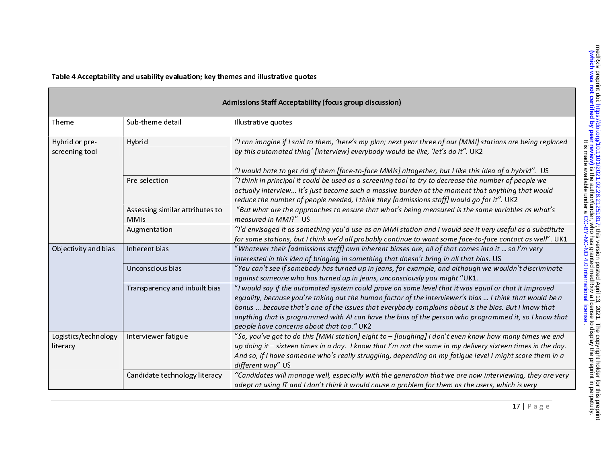| Admissions Staff Acceptability (focus group discussion) |                                                |                                                                                                                                                                                                                                                                                                                                                                                                                                                                              |  |
|---------------------------------------------------------|------------------------------------------------|------------------------------------------------------------------------------------------------------------------------------------------------------------------------------------------------------------------------------------------------------------------------------------------------------------------------------------------------------------------------------------------------------------------------------------------------------------------------------|--|
| Theme                                                   | Sub-theme detail                               | Illustrative quotes                                                                                                                                                                                                                                                                                                                                                                                                                                                          |  |
| Hybrid or pre-<br>screening tool                        | Hybrid                                         | "I can imagine if I said to them, 'here's my plan; next year three of our [MMI] stations are being replaced<br>by this automated thing' [interview] everybody would be like, 'let's do it". UK2<br>"I would hate to get rid of them [face-to-face MMIs] altogether, but I like this idea of a hybrid". US                                                                                                                                                                    |  |
|                                                         | Pre-selection                                  | "I think in principal it could be used as a screening tool to try to decrease the number of people we<br>actually interview It's just become such a massive burden at the moment that anything that would<br>reduce the number of people needed, I think they [admissions staff] would go for it". UK2                                                                                                                                                                       |  |
|                                                         | Assessing similar attributes to<br><b>MMIs</b> | "But what are the approaches to ensure that what's being measured is the same variables as what's<br>measured in MMI?" US                                                                                                                                                                                                                                                                                                                                                    |  |
|                                                         | Augmentation                                   | "I'd envisaged it as something you'd use as an MMI station and I would see it very useful as a substitute<br>for some stations, but I think we'd all probably continue to want some face-to-face contact as well". UK1                                                                                                                                                                                                                                                       |  |
| Objectivity and bias                                    | Inherent bias                                  | "Whatever their [admissions staff] own inherent biases are, all of that comes into it  so I'm very<br>interested in this idea of bringing in something that doesn't bring in all that bias. US                                                                                                                                                                                                                                                                               |  |
|                                                         | Unconscious bias                               | "You can't see if somebody has turned up in jeans, for example, and although we wouldn't discriminate<br>against someone who has turned up in jeans, unconsciously you might "UK1.                                                                                                                                                                                                                                                                                           |  |
|                                                         | Transparency and inbuilt bias                  | "I would say if the automated system could prove on some level that it was equal or that it improved<br>equality, because you're taking out the human factor of the interviewer's bias  I think that would be a<br>bonus  because that's one of the issues that everybody complains about is the bias. But I know that<br>anything that is programmed with AI can have the bias of the person who programmed it, so I know that<br>people have concerns about that too." UK2 |  |
| Logistics/technology<br>literacy                        | Interviewer fatigue                            | "So, you've got to do this [MMI station] eight to - [laughing] I don't even know how many times we end<br>up doing it - sixteen times in a day. I know that I'm not the same in my delivery sixteen times in the day.<br>And so, if I have someone who's really struggling, depending on my fatigue level I might score them in a<br>different way" US                                                                                                                       |  |
|                                                         | Candidate technology literacy                  | "Candidates will manage well, especially with the generation that we are now interviewing, they are very<br>adept at using IT and I don't think it would cause a problem for them as the users, which is very                                                                                                                                                                                                                                                                |  |

Table 4 Acceptability and usability evaluation; key themes and illustrative quotes

17 | Page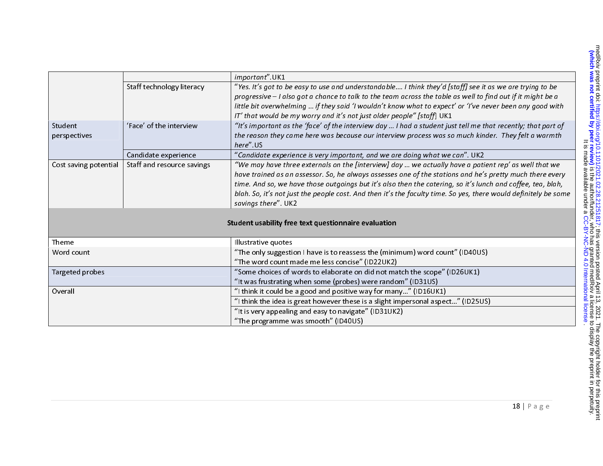|                       |                            | important". UK1                                                                                                 |
|-----------------------|----------------------------|-----------------------------------------------------------------------------------------------------------------|
|                       | Staff technology literacy  | "Yes. It's got to be easy to use and understandable I think they'd [staff] see it as we are trying to be        |
|                       |                            | progressive - I also got a chance to talk to the team across the table as well to find out if it might be a     |
|                       |                            | little bit overwhelming  if they said 'I wouldn't know what to expect' or 'I've never been any good with        |
|                       |                            | IT' that would be my worry and it's not just older people" [staff] UK1                                          |
| Student               | 'Face' of the interview    | "It's important as the 'face' of the interview day  I had a student just tell me that recently; that part of    |
| perspectives          |                            | the reason they came here was because our interview process was so much kinder. They felt a warmth              |
|                       |                            | here" US                                                                                                        |
|                       | Candidate experience       | "Candidate experience is very important, and we are doing what we can". UK2                                     |
| Cost saving potential | Staff and resource savings | "We may have three externals on the [interview] day  we actually have a patient rep' as well that we            |
|                       |                            | have trained as an assessor. So, he always assesses one of the stations and he's pretty much there every        |
|                       |                            | time. And so, we have those outgoings but it's also then the catering, so it's lunch and coffee, tea, blah,     |
|                       |                            | blah. So, it's not just the people cost. And then it's the faculty time. So yes, there would definitely be some |
|                       |                            | savings there". UK2                                                                                             |
|                       |                            |                                                                                                                 |
|                       |                            | Student usability free text questionnaire evaluation                                                            |
|                       |                            |                                                                                                                 |
| Theme                 |                            | Illustrative quotes                                                                                             |
| Word count            |                            | "The only suggestion I have is to reassess the (minimum) word count" (ID40US)                                   |
|                       |                            | "The word count made me less concise" (ID22UK2)                                                                 |
| Targeted probes       |                            | "Some choices of words to elaborate on did not match the scope" (ID26UK1)                                       |
|                       |                            | "It was frustrating when some (probes) were random" (ID31US)                                                    |
| Overall               |                            | "I think it could be a good and positive way for many" (ID16UK1)                                                |
|                       |                            | "I think the idea is great however these is a slight impersonal aspect" (ID25US)                                |
|                       |                            | "It is very appealing and easy to navigate" (ID31UK2)                                                           |
|                       |                            | "The programme was smooth" (ID40US)                                                                             |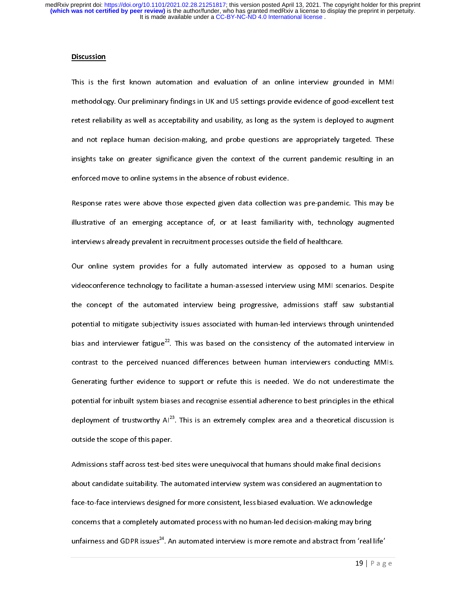#### **Discussion**

methodology. Our preliminary findings in UK and US settings provide evidence of good-excellent test<br>retest reliability as well as acceptability and usability, as long as the system is deployed to augment<br>and not replace hu metest reliability as well as acceptability and usability, as long as the system is deployed to augment<br>and not replace human decision-making, and probe questions are appropriately targeted. These<br>insights take on greater retest reliability as well as acceptability and accusively, as long as the system is deployed to augment<br>and not replace human decision-making, and probe questions are appropriately targeted. These<br>insights take on greater insights take on greater significance given the context of the current pandemic resulting in an<br>enforced move to online systems in the absence of robust evidence.

Response rates were above those expected given data collection was pre-pandemic. This may be enforced move to online systems in the absence of robust evidence.<br>Response rates were above those expected given data collection<br>illustrative of an emerging acceptance of, or at least familiarity<br>interviews already preval Response rates in the above these expected given above the succession are pre-pandemic. This may be<br>illustrative of an emerging acceptance of, or at least familiarity with, technology augmented<br>interviews already prevalent

interviews already prevalent in recruitment processes outside the field of healthcare.<br>Our online system provides for a fully automated interview as opposed to a human using<br>videoconference technology to facilitate a human Interviews areas, prevalent in recruiting processes outside the field of a<br>Dur online system provides for a fully automated interview as opposed to a<br>videoconference technology to facilitate a human-assessed interview usin Our ordinary system provides for a fully automated interview as opposed to a human analy<br>videoconference technology to facilitate a human-assessed interview using MMI scenarios. Despite<br>the concept of the automated intervi the concept of the automated interview being progressive, admissions staff saw substantial<br>potential to mitigate subjectivity issues associated with human-led interviews through unintended<br>bias and interviewer fatigue<sup>22</sup>. potential to mitigate subjectivity issues associated with human-led interviews through unintended<br>bias and interviewer fatigue<sup>22</sup>. This was based on the consistency of the automated interview in<br>contrast to the perceived potential to mitigate subjectivity issues association into interview the automated interview in<br>bias and interviewer fatigue<sup>22</sup>. This was based on the consistency of the automated interview in<br>contrast to the perceived nu bias and interviewer fatigue<sup>22</sup>. This was based on the consistency of the automated interview in<br>contrast to the perceived nuanced differences between human interviewers conducting MMIs.<br>Generating further evidence to sup Generating further evidence to support or refute this is needed. We do not underestimate the<br>potential for inbuilt system biases and recognise essential adherence to best principles in the ethical<br>deployment of trustworthy potential for inbuilt system biases and recognise essential adherence to best principles in the ethical<br>deployment of trustworthy Al<sup>23</sup>. This is an extremely complex area and a theoretical discussion is<br>outside the scope potential formulation of trustworthy Al<sup>23</sup>. This is an extremely complex area and a theoretical discussion is<br>pottside the scope of this paper.<br>Admissions staff across test-bed sites were unequivocal that humans should ma

outside the scope of this paper.<br>Admissions staff across test-bed sites were unequivocal that humans should make final decisions<br>about candidate suitability. The automated interview system was considered an augmentation to outside the scope of this paper.<br>Admissions staff across test-bed<br>about candidate suitability. The<br>face-to-face interviews designed about candidate suitability. The automated interview system was considered an augmentation to<br>face-to-face interviews designed for more consistent, less biased evaluation. We acknowledge<br>concerns that a completely automate about candidate suitability. The automated interview system was contained in angle change of<br>face-to-face interviews designed for more consistent, less biased evaluation. We acknowledge<br>concerns that a completely automated face-to-face interviews designed for more consistent, less designed on the achievation of the semi-tring-<br>concerns that a completely automated process with no human-led decision-making may bring<br>unfairness and GDPR issues<sup></sup> concerns that a completely automated process minimized automation-making may bring<br>unfairness and GDPR issues<sup>24</sup>. An automated interview is more remote and abstract from 'real<br>19 | P unfairness and GDPR issues". An automated interview is more remote and abstract from 'real life'<br> $19 \mid P a g$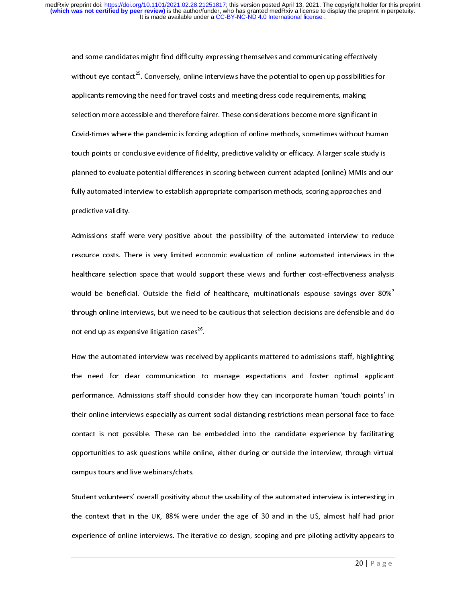and some candidates might find difficulty expressing themselves and communicating effectively<br>without eye contact<sup>25</sup>. Conversely, online interviews have the potential to open up possibilities for<br>applicants removing the n applicants removing the need for travel costs and meeting dress code requirements, making applicants remove accessible and therefore fairer. These considerations become more significant Selection more accessible and therefore fairer. These considerations become more significant<br>Covid-times where the pandemic is selection more accessible and interests the consideration of online methods, sometimes without hum<br>touch points or conclusive evidence of fidelity, predictive validity or efficacy. A larger scale study<br>planned to evaluate touch points or conclusive evidence of fidelity, predictive validity or efficacy. A larger scale study is<br>planned to evaluate potential differences in scoring between current adapted (online) MMIs and ou<br>fully automated in to the points of the matrix of the spinned to evaluate potential differences in scoring between current adapted (online) MMIs and or<br>fully automated interview to establish appropriate comparison methods, scoring approaches fully automated interview to establish appropriate comparison methods, scoring approaches and<br>predictive validity.

fully automated interview to establish appropriate comparison methods, secong approaches and<br>predictive validity.<br>Admissions staff were very positive about the possibility of the automated interviews in<br>resource costs. The r<br>Admissions staff w<br>resource costs. Th<br>healthcare selectio resource costs. There is very limited economic evaluation of online automated interviews in the<br>healthcare selection space that would support these views and further cost-effectiveness analysis<br>would be beneficial. Outside healthcare selection space that would support these views and further cost-effectiveness analysis<br>would be beneficial. Outside the field of healthcare, multinationals espouse savings over 80%<sup>7</sup><br>through online interviews, healthcare, multinationals espouse savings over 80%<sup>7</sup><br>through online interviews, but we need to be cautious that selection decisions are defensible and do<br>not end up as expensive litigation cases<sup>26</sup>. through online interviews, but we need to be cautious that selection decisions are defensible and do<br>not end up as expensive litigation cases<sup>26</sup>.<br>How the automated interview was received by applicants mattered to admissio

through online interviews, but we need to be causing that selections are determined into the<br>not end up as expensive litigation cases<sup>26</sup>.<br>How the automated interview was received by applicants mattered to admissions staff not end up as expensive litigation cases...<br>How the automated interview was receive<br>the need for clear communication to<br>performance. Admissions staff should coi How the automated interview was received by approximated to admissions stand, ingining<br>the need for clear communication to manage expectations and foster optimal applicant<br>performance. Admissions staff should consider how the need for clear communication to manage expectations and foster optimal applicant<br>performance. Admissions staff should consider how they can incorporate human 'touch points' in<br>their online interviews especially as curr performance. Admissions start shown then they can increpate mumic term points in<br>their online interviews especially as current social distancing restrictions mean personal face-to-face<br>contact is not possible. These can be contact is not possible. These can be embedded into the candidate experience by facilitating<br>opportunities to ask questions while online, either during or outside the interview, through virtual<br>campus tours and live webina contact is not possible. These can be embedded into the candidate impenents by facinitating<br>opportunities to ask questions while online, either during or outside the interview, through virtual<br>campus tours and live webinar

campus tours and live webinars/chats.<br>
Student volunteers' overall positivity about the usability of the automated interview is interesting in<br>
the context that in the UK, 88% were under the age of 30 and in the US, almost campus to the Student volunteers' overall positivity a<br>the context that in the UK, 88% were<br>experience of online interviews. The it Student volunteers of online interviews. The iterative co-design, scoping and pre-piloting activity appears to<br>experience of online interviews. The iterative co-design, scoping and pre-piloting activity appears to the context of online interviews. The iterative co-design, scoping and pre-piloting activity appears to<br>  $20 | P a g e$ experience of online interviews. The interviews of  $20$  | P a g e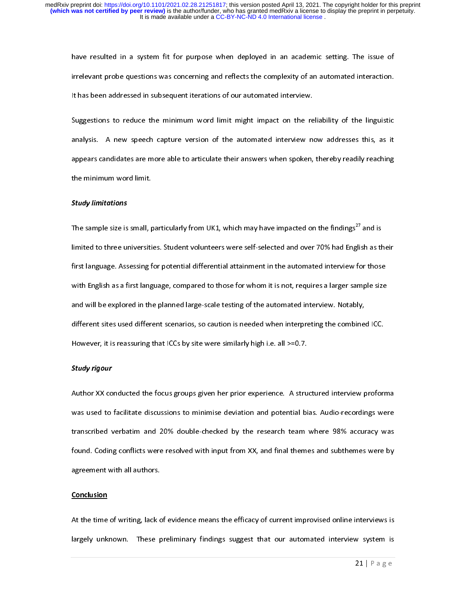irrelevant probe questions was concerning and reflects the complexity of an automated interaction.<br>It has been addressed in subsequent iterations of our automated interview.<br>Suggestions to reduce the minimum word limit mig

It has been addressed in subsequent iterations of our automated interview.<br>Suggestions to reduce the minimum word limit might impact on the reliability of the linguistic<br>analysis. A new speech capture version of the automa Suggestions to reduce the minimum word limit might impact on the re<br>analysis. A new speech capture version of the automated interview no<br>appears candidates are more able to articulate their answers when spoken, Suggestions to related the minimum word capture version of the automated interview now addresses this, as it appears candidates are more able to articulate their answers when spoken, thereby readily reaching the minimum wo analysis. A new speech support version of the automated interview now addressed into, as it<br>appears candidates are more able to articulate their answers when spoken, thereby readily reaching<br>the minimum word limit.<br>Study l appears candidates are more able to articulate their and spoken, thereby readily reading<br>the minimum word limit.<br>Study limitations

# Study limitations

the minimum word limit.<br>**Study limitations**<br>The sample size is small, particularly from UK1, which may have impacted on the findings<sup>27</sup> and is limited to three universities. Student volunteers were self-selected and over 70% had English as their<br>first language. Assessing for potential differential attainment in the automated interview for those<br>with English as a first language. Assessing for potential differential attainment in the automated interview for those first language. As it is not potential attention attainment in the automated interview for those<br>with English as a first language, compared to those for whom it is not, requires a larger sample size<br>and will be explored in and will be explored in the planned large-scale testing of the automated interview. Notably,<br>different sites used different scenarios, so caution is needed when interpreting the combined ICC.<br>However, it is reassuring tha different sites used different scenarios, so caution is needed when interpreting the combined ICC.<br>However, it is reassuring that ICCs by site were similarly high i.e. all >=0.7. different sites and central scenarios, so cannot different measurement productions.<br>However, it is reassuring that ICCs by site were similarly high i.e. all >=0.7.<br>Study rigour

#### Study rigour

Author XX conducted the focus groups given her prior experience. A structured interview proforma<br>was used to facilitate discussions to minimise deviation and potential bias. Audio-recordings were Author Author XX conducted the focus groups groups groups in prior experience. A structured interview proforma<br>Was used to facilitate discussions to minimise deviation and potential bias. Audio-recordings were<br>transcribed transcribed verbatim and 20% double-checked by the research team where 98% accuracy was<br>found. Coding conflicts were resolved with input from XX, and final themes and subthemes were by<br>agreement with all authors. found. Coding conflicts were resolved with input from XX, and final themes and subthemes were by agreement with all authors.<br>agreement with all authors.<br>Conclusion found. Complete with all authors.<br>agreement with all authors.<br>Conclusion

# <u>conclusion</u>

At the time of writing, lack of evidence means the efficacy of current improvised online interviews is largely unknown. These preliminary findings suggest that our automated interview system is<br>21 | P a g e largely under the prediction of the prediction of the prediction of the system interview system is a support of the system interview system interview system interview system is a system interview system in the system inter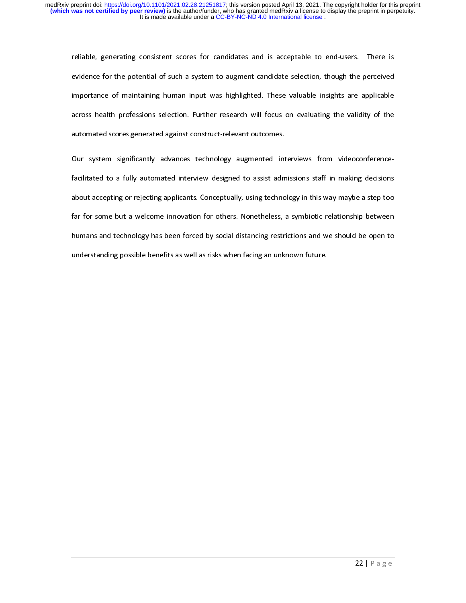evidence for the potential of such a system to augment candidate selection, though the perceived<br>importance of maintaining human input was highlighted. These valuable insights are applicable<br>across health professions selec importance of maintaining human input was highlighted. These valuable insights are applicable<br>across health professions selection. Further research will focus on evaluating the validity of the<br>automated scores generated ag across health professions selection. Further research will focus on evaluating the validity of the<br>automated scores generated against construct-relevant outcomes.

Our system significantly advances technology augmented interviews from videoconference-<br>facilitated to a fully automated interview designed to assist admissions staff in making decisions Our system significantly advances technology augmented int<br>facilitated to a fully automated interview designed to assist adm<br>about accepting or rejecting applicants. Conceptually, using techno our technology and a well-come inflerence-technology and interviews from video conferencefacilitated to a fully antitional territorial designed to antition term in making a step too<br>about accepting or rejecting applicants. Conceptually, using technology in this way maybe a step too<br>far for some but a welcome i about a see pangle regearance entropology, and technology in this way maybe a step to<br>far for some but a welcome innovation for others. Nonetheless, a symbiotic relationship between<br>humans and technology has been forced by humans and technology has been forced by social distancing restrictions and we should be open to<br>understanding possible benefits as well as risks when facing an unknown future. understanding possible benefits as well as risks when facing an unknown future.<br>
Human to social distance of the open to the open to the open to the open to the open to the open to the open to the open to the open to the o understanding possible benefits as well as risks when facing an unknown future.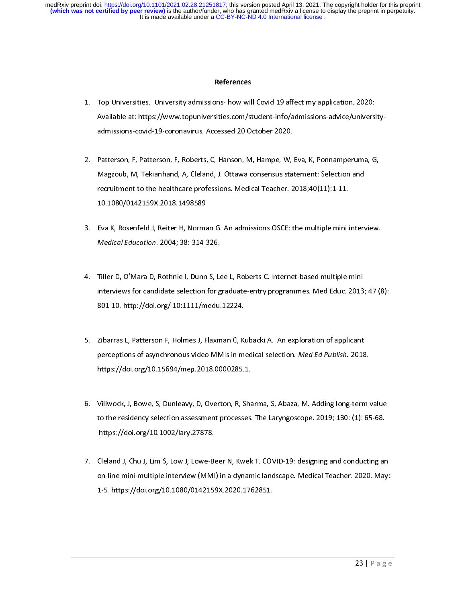- 1. Top Universities. Com/student-info/admissions-advice/universities. Available at: https://www.topuniversities.com/student-info/admissions-advice/universities.<br>admissions-covid-19-coronavirus. Accessed 20 October 2020.<br>2.
- Magzoub, M, Tekianhand, A, Cleland, J. Ottawa consensus statement: Selection and admissions-covid-19-coronavirus. Accessed 20-coronavirus. Actersion 20 October 2014<br>Patterson, F, Patterson, F, Roberts, C, Hanson, M, Hampe, W,<br>Magzoub, M, Tekianhand, A, Cleland, J. Ottawa consensus star<br>recruitment to t  $\frac{1}{2}$ 2. Patterson, F, Patterson, F, Patterson, F, Patters, P, Patters, P, P, Eva, P, Patterson, P, P, Ponnamperuma,<br>Magzoub, M, Tekianhand, A, Cleland, J. Ottawa consensus statement: Selection and<br>recruitment to the healthcare Magzoub, M, Tekianhand, A, Cleman, M, Tekiana, J. Cleman, J. Clemanna, J. O. 18;40(11):1-11.<br>10.1080/0142159X.2018.1498589<br>Eva K, Rosenfeld J, Reiter H, Norman G. An admissions OSCE: the multiple mini intervent.
- recruitment to the healthcare professions. Medical Teacher. 2018;40(11):1-11.<br>10.1080/0142159X.2018.1498589<br>Eva K, Rosenfeld J, Reiter H, Norman G. An admissions OSCE: the multiple mini i<br>Medical Education. 2004; 38: 314-3 10.1080/0142159X.2018.1498589  $\begin{bmatrix} 1 \\ 1 \end{bmatrix}$
- 3. Eva K, Rosenfeld J, Rosenfeld V, Rosenfeld S, Rosenfeld Medical Education. 2004; 38: 314-326.<br>4. Tiller D, O'Mara D, Rothnie I, Dunn S, Lee L, Roberts C. Internet-based multiple mini<br>1. Tiller D, O'Mara D, Rothnie I, Du Medical Education. 2004, 38: 314-326.<br>Tiller D, O'Mara D, Rothnie I, Dunn S, Le<br>interviews for candidate selection for g<br>801-10. http://doi.org/ 10:1111/medu. interviews for candidate selection for graduate-entry programmes. Med Educ. 2013; 47 (8):<br>801-10. http://doi.org/ 10:1111/medu.12224.<br>5. Zibarras L, Patterson F, Holmes J, Flaxman C, Kubacki A. An exploration of applic
- interviews for candidate selection for graduate-entry, programmes into clude 2029;  $\alpha$  <sub>(9)</sub>;<br>801-10. http://doi.org/ 10:1111/medu.12224.<br>Zibarras L, Patterson F, Holmes J, Flaxman C, Kubacki A. An exploration of applican 801-10. http://doi.org/ 10:111-11<br>2ibarras L, Patterson F, Holmes J, Flaxman C, Ki<br>perceptions of asynchronous video MMIs in m<br>https://doi.org/10.15694/mep.2018.0000285. 5. perceptions of asynchronous video MMIs in medical selection. *Med Ed Publish*. 2018<br>https://doi.org/10.15694/mep.2018.0000285.1.<br>6. Villwock, J, Bowe, S, Dunleavy, D, Overton, R, Sharma, S, Abaza, M. Adding long-term
- perceptions of asynchronous video MMIs in medical selection. *Med Ed Publish. 2018.*<br>https://doi.org/10.15694/mep.2018.0000285.1.<br>Villwock, J, Bowe, S, Dunleavy, D, Overton, R, Sharma, S, Abaza, M. Adding long-term<br>to the with the source of the source of the residency selection assessment processes.<br>https://doi.org/10.1002/lary.27878. 1. Villam Controller Controller Controller Controller Controller Section 1991<br>130. (1): 65-68.<br>14. The Electron, R, S, D. Overton, R, S, Abay, S, Abay, S, Abay, S, Channel J, Chu J, Lim S, Low J, Lowe-Beer N, Kwek T. COVID
- to the residency selection assessment processes the samples process process of the selection or  $g/10.1002$ /lary 27878.<br>Cleland J, Chu J, Lim S, Low J, Lowe-Beer N, Kwek T. COVID-19: designing and conducting are on-line mi https://doi.org/10.1080/0142159.<br>Cleland J, Chu J, Lim S, Low J, Lowe-Be<br>on-line mini-multiple interview (MMI<br>1-5. https://doi.org/10.1080/0142159  $\frac{1}{2}$ on-line mini-multiple interview (MMI) in a dynamic landscape. Medical Teacher. 2020. May:<br>1-5. https://doi.org/10.1080/0142159X.2020.1762851. on-line mini-man, premierince (MMI) in a dynamic landscape. Medical Teacher. 2020.<br>1-5. https://doi.org/10.1080/0142159X.2020.1762851. 1-5. https://doi.org/10.1080/0142159X.2020.1762851.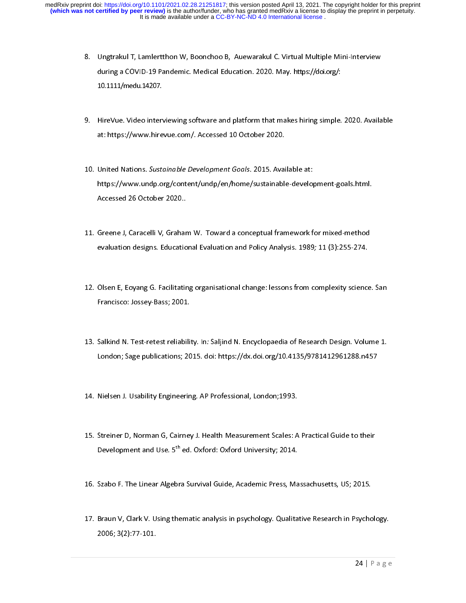- 8. Units and COVID-19 Pandemic. Medical Education. 2020. May. https://doi.org/:<br>10.1111/medu.14207.<br>9. HireVue. Video interviewing software and platform that makes hiring simple. 2020. Availa
- during a Covid-19 Pandemic. Medication<br>10.1111/medu.14207.<br>HireVue. Video interviewing software and platform that makes hiring simple.<br>https://www.hirevue.com/. Accessed 10 October 2020. 10.1111/medu.14207.<br>HireVue. Video interviewing software and platform that ma<br>at: https://www.hirevue.com/. Accessed 10 October 2020.
- 9. Hireview Machenharming softmare and plans in that makes hing simple. 2020.<br>10. United Nations. Sustainable Development Goals. 2015. Available at:<br>https://www.undp.org/content/undp/en/home/sustainable-development-goals.h at: https://www.undp.org/content/docals.com/.<br>https://www.undp.org/content/undp/en/home/sustainable<br>Accessed 26 October 2020. 10. Onted Nations. Sustainable Development Goals. 2015. Available at:<br>https://www.undp.org/content/undp/en/home/sustainable-develop<br>Accessed 26 October 2020..<br>11. Greene J, Caracelli V, Graham W. Toward a conceptual framew
- https://www.undoi.com/en/home/sustainable-development<br>Accessed 26 October 2020..<br>Greene J, Caracelli V, Graham W. Toward a conceptual framework for mixed-method<br>evaluation designs. Educational Evaluation and Policy Analysi Greene J, Caracelli V, Grahar<br>evaluation designs. Educatio 11. evaluation designs. Educational Evaluation and Policy Analysis. 1989; 11 (3):255-274.<br>12. Olsen E, Eoyang G. Facilitating organisational change: lessons from complexity science
- 12. Olsen E, Eoyang G. Facilitating organisational change: lessons from complexity science. San<br>Francisco: Jossey-Bass; 2001.
- 13. Salkind N. Test-retest reliability. In: Saljind N. Encyclopaedia of Research Design. Volume 1. Francisco: Josep Jacky 2002.<br>Salkind N. Test-retest reliabilit<br>London; Sage publications; 20 13. Salkind N. Test-retest reliability. In: Saljind N. Encyclopaedia of Research Design. Volume 1.<br>London; Sage publications; 2015. doi: https://dx.doi.org/10.4135/9781412961288.n457<br>14. Nielsen J. Usability Engineering. A
- London; Same publications; 2015. Alondon; 2015. Alondon; 2015. Nielsen J. Usability Engineering. AP Professional, London; 1993.

- 14. Nielsen J. Usability Engineering. AP Professional, London;1993.<br>15. Streiner D, Norman G, Cairney J. Health Measurement Scales: A Practical Guide to their<br>Development and Use. 5<sup>th</sup> ed. Oxford: Oxford University; 2014.  $\frac{1}{2}$ ؟<br>]<br>} 15. Stremmer J, Norman G, Streem Measurement Scales: A Practical Guide to their<br>Development and Use. 5<sup>th</sup> ed. Oxford: Oxford University; 2014.<br>16. Szabo F. The Linear Algebra Survival Guide, Academic Press, Massachusetts,
- Development and Use. 5th ed. Oxford: Oxford University; 2014.<br>Szabo F. The Linear Algebra Survival Guide, Academic Press, Ma<br>...
- 17. Braun V, Clark V. Using thematic analysis in psychology. Qualitative Research in Psychology.<br>2006; 3(2):77-101. 17. Braun V, Clark V. Osing thematic analysis in psychology. Qualitative Research in Psychology.<br>2006; 3(2):77-101.<br>24 | P a g e  $2000, 3(2).77101.$